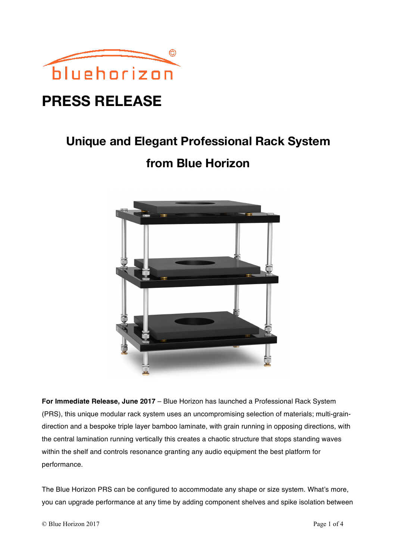

## **PRESS RELEASE**

# **Unique and Elegant Professional Rack System**

### **from Blue Horizon**



**For Immediate Release, June 2017** – Blue Horizon has launched a Professional Rack System (PRS), this unique modular rack system uses an uncompromising selection of materials; multi-graindirection and a bespoke triple layer bamboo laminate, with grain running in opposing directions, with the central lamination running vertically this creates a chaotic structure that stops standing waves within the shelf and controls resonance granting any audio equipment the best platform for performance.

The Blue Horizon PRS can be configured to accommodate any shape or size system. What's more, you can upgrade performance at any time by adding component shelves and spike isolation between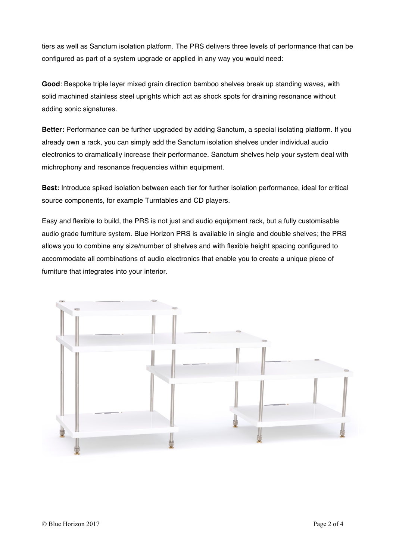tiers as well as Sanctum isolation platform. The PRS delivers three levels of performance that can be configured as part of a system upgrade or applied in any way you would need:

**Good**: Bespoke triple layer mixed grain direction bamboo shelves break up standing waves, with solid machined stainless steel uprights which act as shock spots for draining resonance without adding sonic signatures.

**Better:** Performance can be further upgraded by adding Sanctum, a special isolating platform. If you already own a rack, you can simply add the Sanctum isolation shelves under individual audio electronics to dramatically increase their performance. Sanctum shelves help your system deal with michrophony and resonance frequencies within equipment.

**Best:** Introduce spiked isolation between each tier for further isolation performance, ideal for critical source components, for example Turntables and CD players.

Easy and flexible to build, the PRS is not just and audio equipment rack, but a fully customisable audio grade furniture system. Blue Horizon PRS is available in single and double shelves; the PRS allows you to combine any size/number of shelves and with flexible height spacing configured to accommodate all combinations of audio electronics that enable you to create a unique piece of furniture that integrates into your interior.

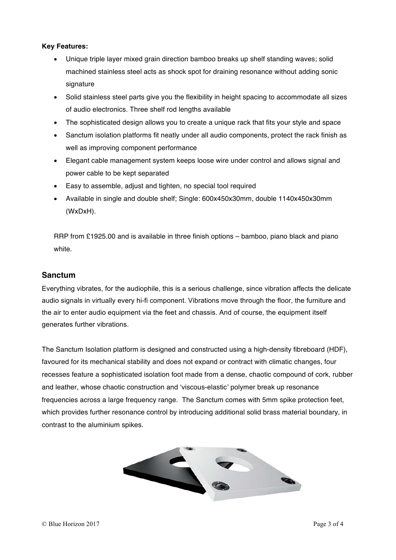#### **Key Features:**

- Unique triple layer mixed grain direction bamboo breaks up shelf standing waves; solid machined stainless steel acts as shock spot for draining resonance without adding sonic signature
- Solid stainless steel parts give you the flexibility in height spacing to accommodate all sizes of audio electronics. Three shelf rod lengths available
- The sophisticated design allows you to create a unique rack that fits your style and space
- Sanctum isolation platforms fit neatly under all audio components, protect the rack finish as well as improving component performance
- Elegant cable management system keeps loose wire under control and allows signal and power cable to be kept separated
- Easy to assemble, adjust and tighten, no special tool required
- Available in single and double shelf; Single: 600x450x30mm, double 1140x450x30mm (WxDxH).

RRP from £1925.00 and is available in three finish options – bamboo, piano black and piano white.

#### **Sanctum**

Everything vibrates, for the audiophile, this is a serious challenge, since vibration affects the delicate audio signals in virtually every hi-fi component. Vibrations move through the floor, the furniture and the air to enter audio equipment via the feet and chassis. And of course, the equipment itself generates further vibrations.

The Sanctum Isolation platform is designed and constructed using a high-density fibreboard (HDF), favoured for its mechanical stability and does not expand or contract with climatic changes, four recesses feature a sophisticated isolation foot made from a dense, chaotic compound of cork, rubber and leather, whose chaotic construction and 'viscous-elastic' polymer break up resonance frequencies across a large frequency range. The Sanctum comes with 5mm spike protection feet, which provides further resonance control by introducing additional solid brass material boundary, in contrast to the aluminium spikes.